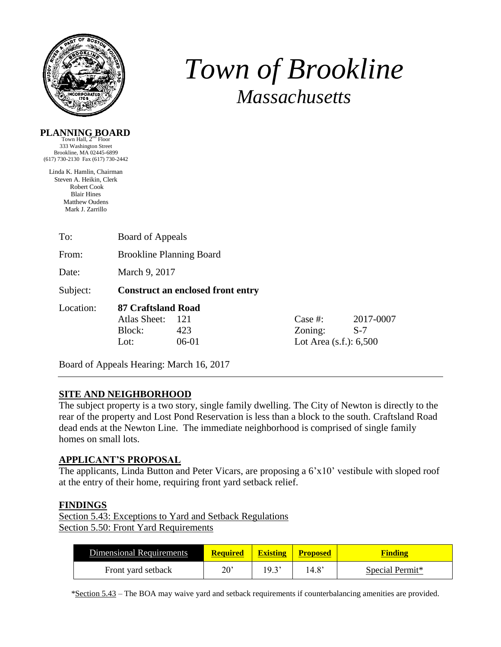

# *Town of Brookline Massachusetts*

## **PLANNING BOARD**

333 Washington Street Brookline, MA 02445-6899 (617) 730-2130 Fax (617) 730-2442

Linda K. Hamlin, Chairman Steven A. Heikin, Clerk Robert Cook Blair Hines Matthew Oudens Mark J. Zarrillo

| To:       | Board of Appeals                                     |                       |                                                    |                    |  |
|-----------|------------------------------------------------------|-----------------------|----------------------------------------------------|--------------------|--|
| From:     | <b>Brookline Planning Board</b>                      |                       |                                                    |                    |  |
| Date:     | March 9, 2017                                        |                       |                                                    |                    |  |
| Subject:  | <b>Construct an enclosed front entry</b>             |                       |                                                    |                    |  |
| Location: | 87 Craftsland Road<br>Atlas Sheet:<br>Block:<br>Lot: | 121<br>423<br>$06-01$ | Case $#$ :<br>Zoning:<br>Lot Area $(s.f.)$ : 6,500 | 2017-0007<br>$S-7$ |  |

Board of Appeals Hearing: March 16, 2017

#### **SITE AND NEIGHBORHOOD**

The subject property is a two story, single family dwelling. The City of Newton is directly to the rear of the property and Lost Pond Reservation is less than a block to the south. Craftsland Road dead ends at the Newton Line. The immediate neighborhood is comprised of single family homes on small lots.

#### **APPLICANT'S PROPOSAL**

The applicants, Linda Button and Peter Vicars, are proposing a 6'x10' vestibule with sloped roof at the entry of their home, requiring front yard setback relief.

#### **FINDINGS**

Section 5.43: Exceptions to Yard and Setback Regulations Section 5.50: Front Yard Requirements

| Dimensional Requirements | <b>Required</b> | <b>Existing</b> | <b>Proposed</b> | Finding         |
|--------------------------|-----------------|-----------------|-----------------|-----------------|
| Front yard setback       | $20^{\circ}$    | 193'            | 14.8'           | Special Permit* |

\*Section 5.43 – The BOA may waive yard and setback requirements if counterbalancing amenities are provided.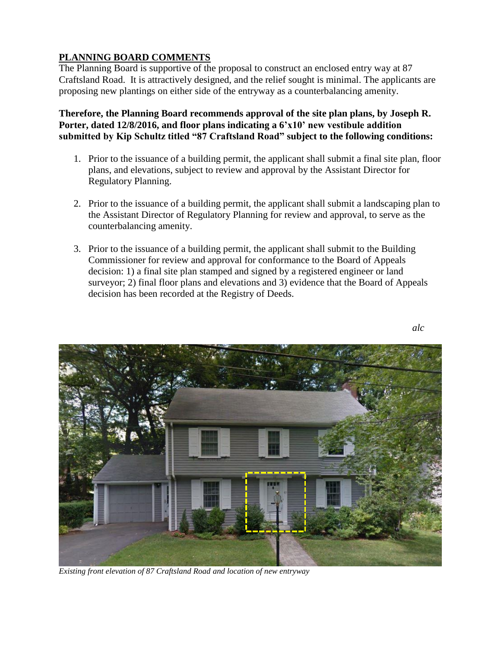### **PLANNING BOARD COMMENTS**

The Planning Board is supportive of the proposal to construct an enclosed entry way at 87 Craftsland Road. It is attractively designed, and the relief sought is minimal. The applicants are proposing new plantings on either side of the entryway as a counterbalancing amenity.

**Therefore, the Planning Board recommends approval of the site plan plans, by Joseph R. Porter, dated 12/8/2016, and floor plans indicating a 6'x10' new vestibule addition submitted by Kip Schultz titled "87 Craftsland Road" subject to the following conditions:**

- 1. Prior to the issuance of a building permit, the applicant shall submit a final site plan, floor plans, and elevations, subject to review and approval by the Assistant Director for Regulatory Planning.
- 2. Prior to the issuance of a building permit, the applicant shall submit a landscaping plan to the Assistant Director of Regulatory Planning for review and approval, to serve as the counterbalancing amenity.
- 3. Prior to the issuance of a building permit, the applicant shall submit to the Building Commissioner for review and approval for conformance to the Board of Appeals decision: 1) a final site plan stamped and signed by a registered engineer or land surveyor; 2) final floor plans and elevations and 3) evidence that the Board of Appeals decision has been recorded at the Registry of Deeds.



*alc*



*Existing front elevation of 87 Craftsland Road and location of new entryway*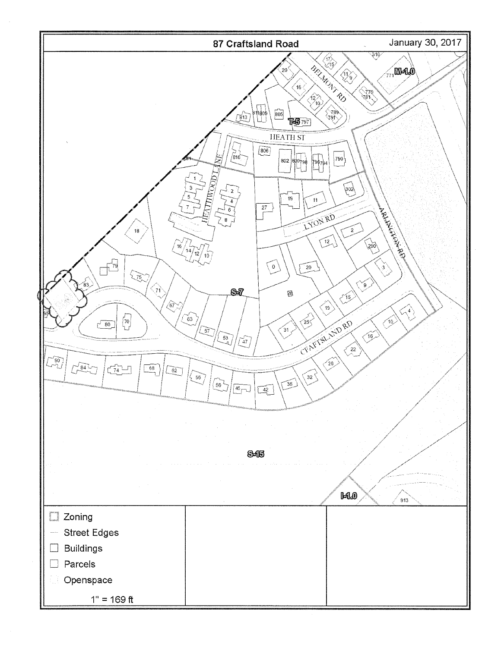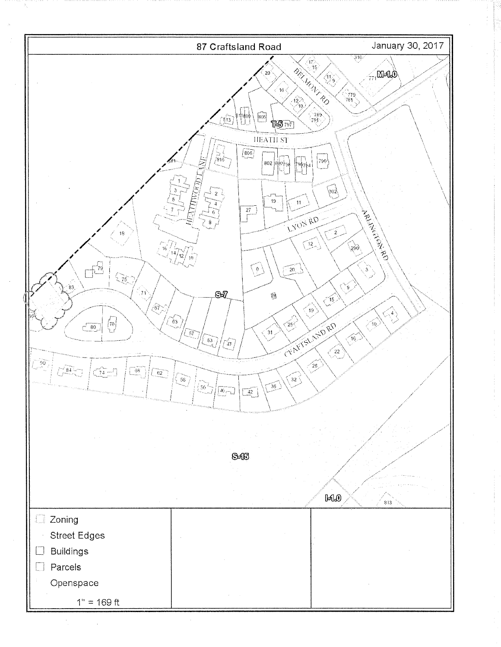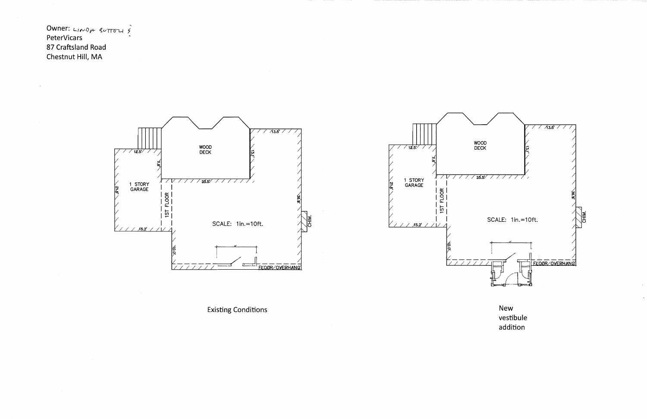Owner: LINDA BUTTOU & 87 Craftsland Road Chestnut Hill, MA

 $\mathcal{L}^{\mathcal{L}}$ 

 $\sim$ 





**Existing Conditions** 

New vestibule addition

 $\sim$   $\alpha$